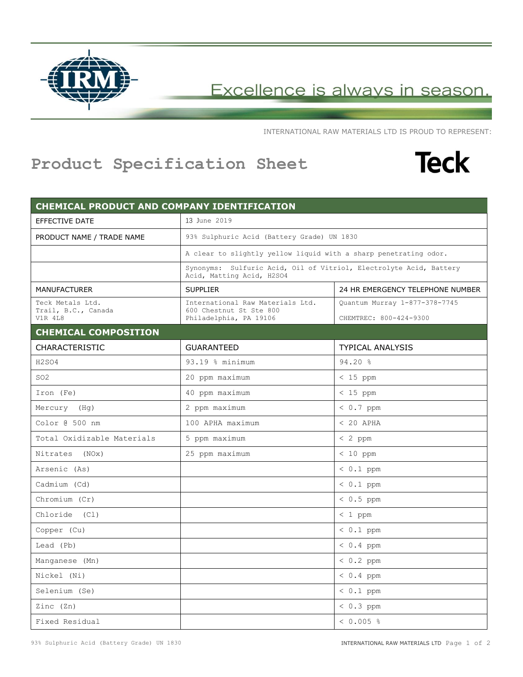

Excellence is always in season.

INTERNATIONAL RAW MATERIALS LTD IS PROUD TO REPRESENT:

## **Product Specification Sheet**



| CHEMICAL PRODUCT AND COMPANY IDENTIFICATION        |                                                                                                 |                                                         |
|----------------------------------------------------|-------------------------------------------------------------------------------------------------|---------------------------------------------------------|
| <b>EFFECTIVE DATE</b>                              | 13 June 2019                                                                                    |                                                         |
| PRODUCT NAME / TRADE NAME                          | 93% Sulphuric Acid (Battery Grade) UN 1830                                                      |                                                         |
|                                                    | A clear to slightly yellow liquid with a sharp penetrating odor.                                |                                                         |
|                                                    | Synonyms: Sulfuric Acid, Oil of Vitriol, Electrolyte Acid, Battery<br>Acid, Matting Acid, H2SO4 |                                                         |
| <b>MANUFACTURER</b>                                | <b>SUPPLIER</b>                                                                                 | 24 HR EMERGENCY TELEPHONE NUMBER                        |
| Teck Metals Ltd.<br>Trail, B.C., Canada<br>V1R 418 | International Raw Materials Ltd.<br>600 Chestnut St Ste 800<br>Philadelphia, PA 19106           | Quantum Murray 1-877-378-7745<br>CHEMTREC: 800-424-9300 |
| <b>CHEMICAL COMPOSITION</b>                        |                                                                                                 |                                                         |
| <b>CHARACTERISTIC</b>                              | <b>GUARANTEED</b>                                                                               | <b>TYPICAL ANALYSIS</b>                                 |
| H2SO4                                              | 93.19 % minimum                                                                                 | $94.20$ %                                               |
| SO <sub>2</sub>                                    | 20 ppm maximum                                                                                  | $< 15$ ppm                                              |
| Iron (Fe)                                          | 40 ppm maximum                                                                                  | $< 15$ ppm                                              |
| Mercury (Hq)                                       | 2 ppm maximum                                                                                   | $< 0.7$ ppm                                             |
| Color @ 500 nm                                     | 100 APHA maximum                                                                                | $< 20$ APHA                                             |
| Total Oxidizable Materials                         | 5 ppm maximum                                                                                   | $< 2$ ppm                                               |
| Nitrates (NOx)                                     | 25 ppm maximum                                                                                  | $< 10$ ppm                                              |
| Arsenic (As)                                       |                                                                                                 | $< 0.1$ ppm                                             |
| Cadmium (Cd)                                       |                                                                                                 | $0.1$ ppm                                               |
| Chromium (Cr)                                      |                                                                                                 | $0.5$ ppm                                               |
| Chloride (Cl)                                      |                                                                                                 | $< 1$ ppm                                               |
| Copper (Cu)                                        |                                                                                                 | $0.1$ ppm                                               |
| Lead (Pb)                                          |                                                                                                 | $< 0.4$ ppm                                             |
| Manganese (Mn)                                     |                                                                                                 | $0.2$ ppm                                               |
| Nickel (Ni)                                        |                                                                                                 | $< 0.4$ ppm                                             |
| Selenium (Se)                                      |                                                                                                 | $< 0.1$ ppm                                             |
| Zinc (Zn)                                          |                                                                                                 | $< 0.3$ ppm                                             |
| Fixed Residual                                     |                                                                                                 | $< 0.005$ %                                             |